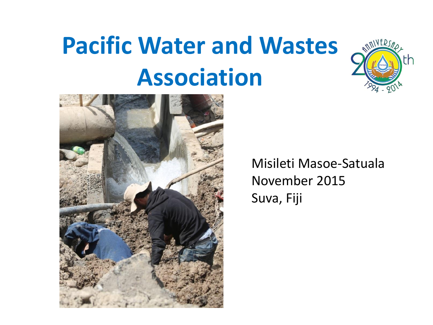# **Pacific Water and Wastes Association**





Misileti Masoe-Satuala November 2015 Suva, Fiji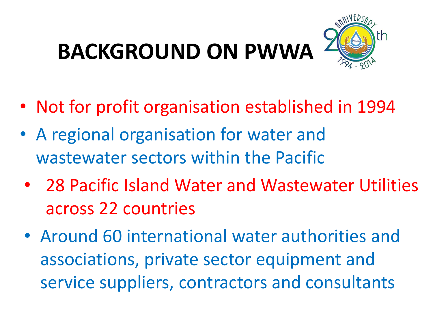# **BACKGROUND ON PWWA**



- Not for profit organisation established in 1994
- A regional organisation for water and wastewater sectors within the Pacific
- 28 Pacific Island Water and Wastewater Utilities across 22 countries
- Around 60 international water authorities and associations, private sector equipment and service suppliers, contractors and consultants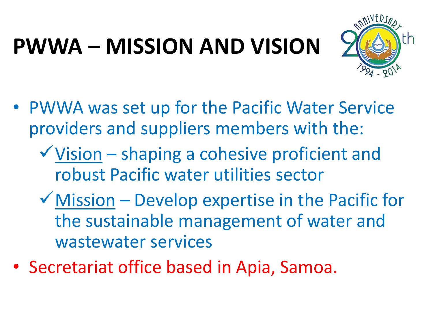## **PWWA – MISSION AND VISION**



- PWWA was set up for the Pacific Water Service providers and suppliers members with the:
	- Vision shaping a cohesive proficient and robust Pacific water utilities sector
	- $\checkmark$  Mission Develop expertise in the Pacific for the sustainable management of water and wastewater services
- Secretariat office based in Apia, Samoa.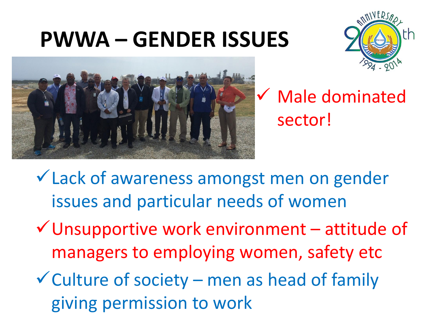#### **PWWA – GENDER ISSUES**





#### Male dominated sector!

- Lack of awareness amongst men on gender issues and particular needs of women
- $\checkmark$  Unsupportive work environment attitude of managers to employing women, safety etc
- $\checkmark$  Culture of society men as head of family giving permission to work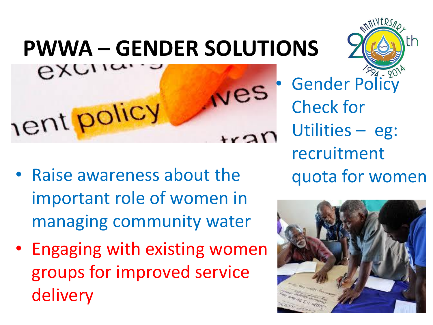### **PWWA – GENDER SOLUTIONS**



- Raise awareness about the important role of women in managing community water
- Engaging with existing women groups for improved service delivery

Gender Policy Check for Utilities – eg: recruitment quota for women



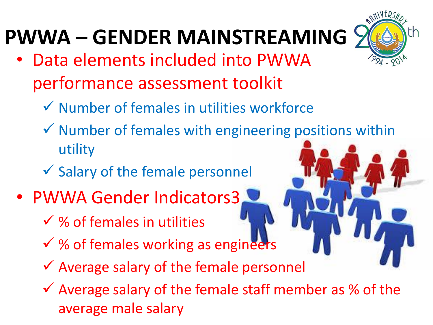#### **PWWA – GENDER MAINSTREAMING**

- Data elements included into PWWA performance assessment toolkit
	- $\checkmark$  Number of females in utilities workforce
	- $\checkmark$  Number of females with engineering positions within utility
	- $\checkmark$  Salary of the female personnel
- PWWA Gender Indicators3
	- $\checkmark$  % of females in utilities
	- $\checkmark$  % of females working as engineers
	- $\checkmark$  Average salary of the female personnel
	- $\checkmark$  Average salary of the female staff member as % of the average male salary

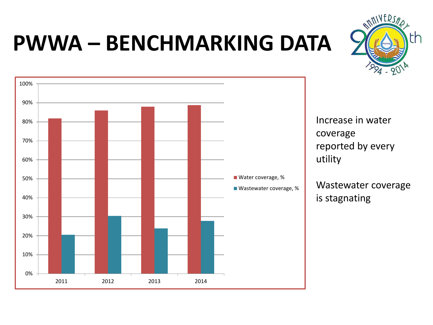#### **PWWA – BENCHMARKING DATA**





Increase in water coverage reported by every utility

Wastewater coverage is stagnating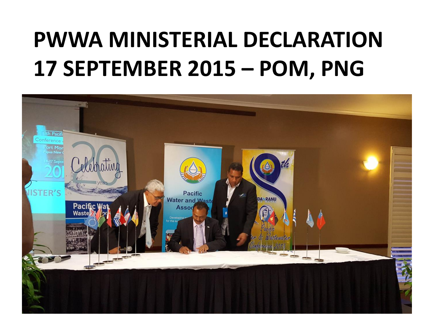#### **PWWA MINISTERIAL DECLARATION 17 SEPTEMBER 2015 – POM, PNG**

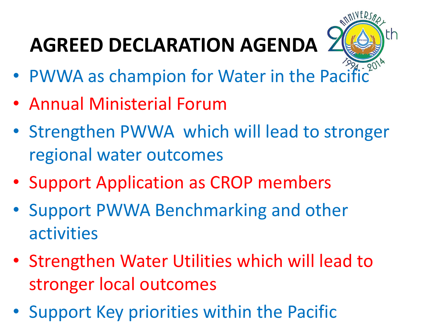### **AGREED DECLARATION AGENDA**



- PWWA as champion for Water in the Pacific
- Annual Ministerial Forum
- Strengthen PWWA which will lead to stronger regional water outcomes
- Support Application as CROP members
- Support PWWA Benchmarking and other activities
- Strengthen Water Utilities which will lead to stronger local outcomes
- Support Key priorities within the Pacific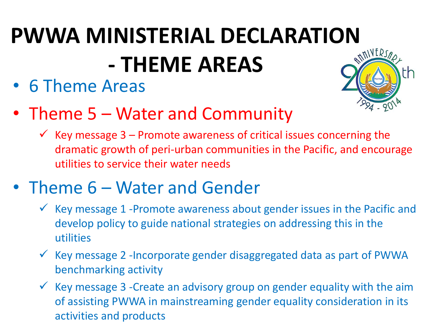# **PWWA MINISTERIAL DECLARATION - THEME AREAS**

• 6 Theme Areas



- Theme 5 Water and Community
	- $\checkmark$  Key message 3 Promote awareness of critical issues concerning the dramatic growth of peri-urban communities in the Pacific, and encourage utilities to service their water needs
- Theme 6 Water and Gender
	- $\checkmark$  Key message 1 -Promote awareness about gender issues in the Pacific and develop policy to guide national strategies on addressing this in the utilities
	- $\checkmark$  Key message 2 -Incorporate gender disaggregated data as part of PWWA benchmarking activity
	- $\checkmark$  Key message 3 -Create an advisory group on gender equality with the aim of assisting PWWA in mainstreaming gender equality consideration in its activities and products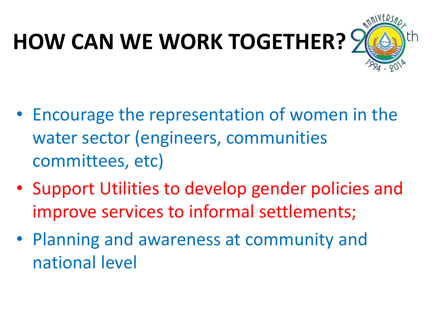# **HOW CAN WE WORK TOGETHER?**



- Encourage the representation of women in the water sector (engineers, communities committees, etc)
- Support Utilities to develop gender policies and improve services to informal settlements;
- Planning and awareness at community and national level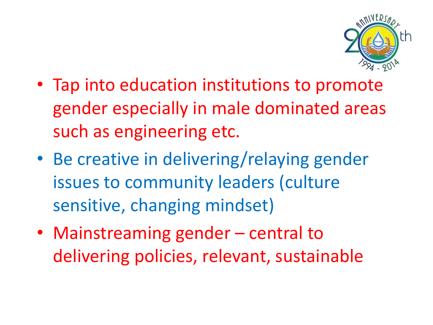

- Tap into education institutions to promote gender especially in male dominated areas such as engineering etc.
- Be creative in delivering/relaying gender issues to community leaders (culture sensitive, changing mindset)
- Mainstreaming gender central to delivering policies, relevant, sustainable